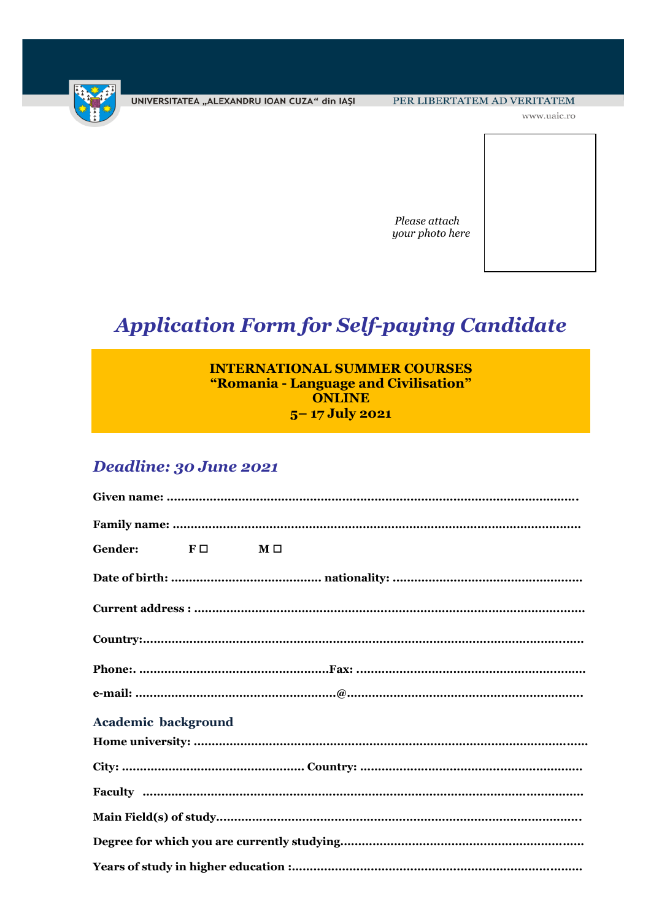

UNIVERSITATEA "ALEXANDRU IOAN CUZA" din IAȘI

www.uaic.ro



# **Application Form for Self-paying Candidate**

| <b>INTERNATIONAL SUMMER COURSES</b>   |
|---------------------------------------|
| "Romania - Language and Civilisation" |
| <b>ONLINE</b>                         |
| $5 - 17$ July 2021                    |

## Deadline: 30 June 2021

| Gender:                    | $F \Box$ | $\mathbf{M} \ \square$ |  |
|----------------------------|----------|------------------------|--|
|                            |          |                        |  |
|                            |          |                        |  |
|                            |          |                        |  |
|                            |          |                        |  |
|                            |          |                        |  |
| <b>Academic background</b> |          |                        |  |
|                            |          |                        |  |
|                            |          |                        |  |
|                            |          |                        |  |
|                            |          |                        |  |
|                            |          |                        |  |
|                            |          |                        |  |